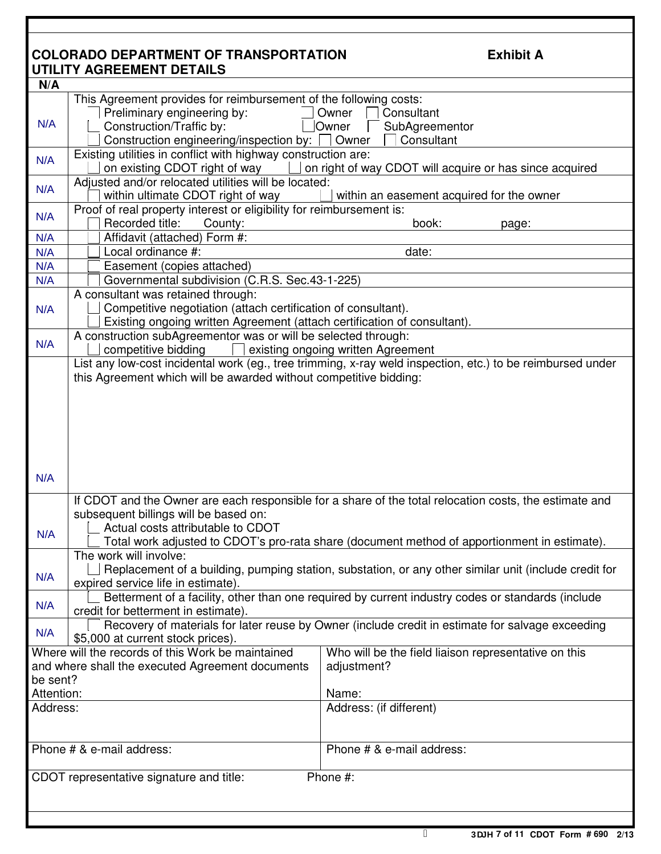|                                                      | <b>COLORADO DEPARTMENT OF TRANSPORTATION</b>                                                 | <b>Exhibit A</b>                                                                                           |  |  |
|------------------------------------------------------|----------------------------------------------------------------------------------------------|------------------------------------------------------------------------------------------------------------|--|--|
|                                                      | UTILITY AGREEMENT DETAILS                                                                    |                                                                                                            |  |  |
| N/A                                                  |                                                                                              |                                                                                                            |  |  |
|                                                      | This Agreement provides for reimbursement of the following costs:                            |                                                                                                            |  |  |
|                                                      | Preliminary engineering by:                                                                  | Owner<br>Consultant                                                                                        |  |  |
| N/A                                                  | Construction/Traffic by:<br>Owner                                                            |                                                                                                            |  |  |
|                                                      |                                                                                              | SubAgreementor                                                                                             |  |  |
|                                                      | Construction engineering/inspection by:                                                      | Consultant<br>Owner                                                                                        |  |  |
| N/A                                                  | Existing utilities in conflict with highway construction are:                                |                                                                                                            |  |  |
|                                                      | on existing CDOT right of way<br>on right of way CDOT will acquire or has since acquired     |                                                                                                            |  |  |
| N/A                                                  | Adjusted and/or relocated utilities will be located:                                         |                                                                                                            |  |  |
|                                                      | within ultimate CDOT right of way                                                            | within an easement acquired for the owner                                                                  |  |  |
|                                                      | Proof of real property interest or eligibility for reimbursement is:                         |                                                                                                            |  |  |
| N/A                                                  | Recorded title:<br>County:<br>book:<br>page:                                                 |                                                                                                            |  |  |
| N/A                                                  | Affidavit (attached) Form #:                                                                 |                                                                                                            |  |  |
| N/A                                                  | Local ordinance #:                                                                           | date:                                                                                                      |  |  |
| N/A                                                  | Easement (copies attached)                                                                   |                                                                                                            |  |  |
| N/A                                                  | Governmental subdivision (C.R.S. Sec.43-1-225)                                               |                                                                                                            |  |  |
|                                                      |                                                                                              |                                                                                                            |  |  |
|                                                      | A consultant was retained through:                                                           |                                                                                                            |  |  |
| N/A                                                  | Competitive negotiation (attach certification of consultant).                                |                                                                                                            |  |  |
|                                                      | Existing ongoing written Agreement (attach certification of consultant).                     |                                                                                                            |  |  |
| N/A                                                  | A construction subAgreementor was or will be selected through:                               |                                                                                                            |  |  |
|                                                      | competitive bidding<br>existing ongoing written Agreement                                    |                                                                                                            |  |  |
|                                                      |                                                                                              | List any low-cost incidental work (eg., tree trimming, x-ray weld inspection, etc.) to be reimbursed under |  |  |
|                                                      | this Agreement which will be awarded without competitive bidding:                            |                                                                                                            |  |  |
|                                                      |                                                                                              |                                                                                                            |  |  |
|                                                      |                                                                                              |                                                                                                            |  |  |
|                                                      |                                                                                              |                                                                                                            |  |  |
|                                                      |                                                                                              |                                                                                                            |  |  |
|                                                      |                                                                                              |                                                                                                            |  |  |
|                                                      |                                                                                              |                                                                                                            |  |  |
|                                                      |                                                                                              |                                                                                                            |  |  |
| N/A                                                  |                                                                                              |                                                                                                            |  |  |
|                                                      |                                                                                              | If CDOT and the Owner are each responsible for a share of the total relocation costs, the estimate and     |  |  |
|                                                      |                                                                                              |                                                                                                            |  |  |
|                                                      | subsequent billings will be based on:                                                        |                                                                                                            |  |  |
| N/A                                                  | Actual costs attributable to CDOT                                                            |                                                                                                            |  |  |
|                                                      | Total work adjusted to CDOT's pro-rata share (document method of apportionment in estimate). |                                                                                                            |  |  |
|                                                      | The work will involve:                                                                       |                                                                                                            |  |  |
| N/A                                                  |                                                                                              | Replacement of a building, pumping station, substation, or any other similar unit (include credit for      |  |  |
|                                                      | expired service life in estimate).                                                           |                                                                                                            |  |  |
|                                                      |                                                                                              | Betterment of a facility, other than one required by current industry codes or standards (include          |  |  |
| N/A                                                  | credit for betterment in estimate).                                                          |                                                                                                            |  |  |
|                                                      |                                                                                              | Recovery of materials for later reuse by Owner (include credit in estimate for salvage exceeding           |  |  |
| N/A                                                  | \$5,000 at current stock prices).                                                            |                                                                                                            |  |  |
|                                                      | Where will the records of this Work be maintained                                            | Who will be the field liaison representative on this                                                       |  |  |
|                                                      | and where shall the executed Agreement documents                                             | adjustment?                                                                                                |  |  |
|                                                      |                                                                                              |                                                                                                            |  |  |
| be sent?<br>Attention:                               |                                                                                              |                                                                                                            |  |  |
|                                                      |                                                                                              | Name:                                                                                                      |  |  |
| Address:                                             |                                                                                              | Address: (if different)                                                                                    |  |  |
|                                                      |                                                                                              |                                                                                                            |  |  |
|                                                      |                                                                                              |                                                                                                            |  |  |
|                                                      | Phone # & e-mail address:                                                                    | Phone # & e-mail address:                                                                                  |  |  |
|                                                      |                                                                                              |                                                                                                            |  |  |
| Phone #:<br>CDOT representative signature and title: |                                                                                              |                                                                                                            |  |  |
|                                                      |                                                                                              |                                                                                                            |  |  |
|                                                      |                                                                                              |                                                                                                            |  |  |
|                                                      |                                                                                              |                                                                                                            |  |  |

Ŧ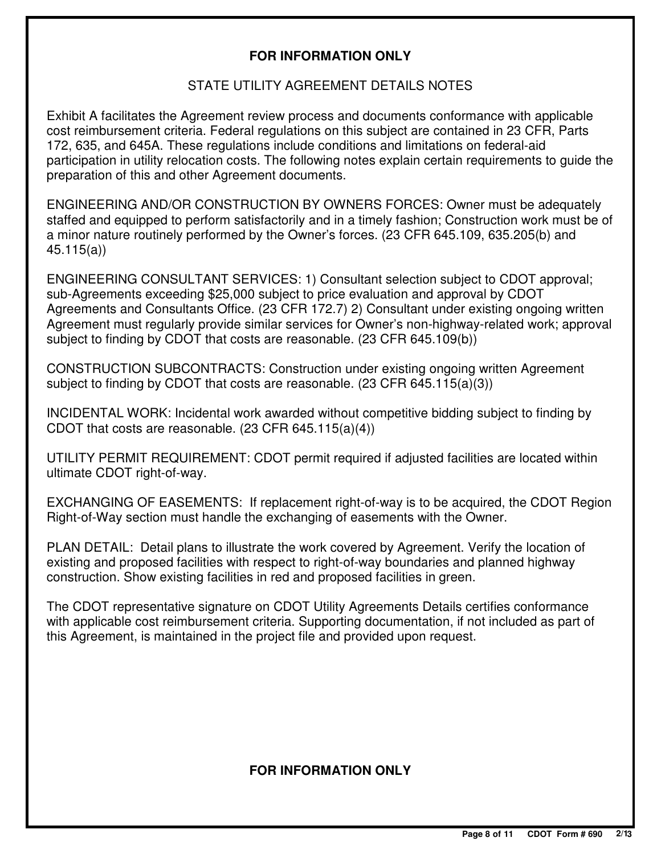### **FOR INFORMATION ONLY**

#### STATE UTILITY AGREEMENT DETAILS NOTES

Exhibit A facilitates the Agreement review process and documents conformance with applicable cost reimbursement criteria. Federal regulations on this subject are contained in 23 CFR, Parts 172, 635, and 645A. These regulations include conditions and limitations on federal-aid participation in utility relocation costs. The following notes explain certain requirements to guide the preparation of this and other Agreement documents.

ENGINEERING AND/OR CONSTRUCTION BY OWNERS FORCES: Owner must be adequately staffed and equipped to perform satisfactorily and in a timely fashion; Construction work must be of a minor nature routinely performed by the Owner's forces. (23 CFR 645.109, 635.205(b) and 45.115(a))

ENGINEERING CONSULTANT SERVICES: 1) Consultant selection subject to CDOT approval; sub-Agreements exceeding \$25,000 subject to price evaluation and approval by CDOT Agreements and Consultants Office. (23 CFR 172.7) 2) Consultant under existing ongoing written Agreement must regularly provide similar services for Owner's non-highway-related work; approval subject to finding by CDOT that costs are reasonable. (23 CFR 645.109(b))

CONSTRUCTION SUBCONTRACTS: Construction under existing ongoing written Agreement subject to finding by CDOT that costs are reasonable. (23 CFR 645.115(a)(3))

INCIDENTAL WORK: Incidental work awarded without competitive bidding subject to finding by CDOT that costs are reasonable. (23 CFR 645.115(a)(4))

UTILITY PERMIT REQUIREMENT: CDOT permit required if adjusted facilities are located within ultimate CDOT right-of-way.

EXCHANGING OF EASEMENTS: If replacement right-of-way is to be acquired, the CDOT Region Right-of-Way section must handle the exchanging of easements with the Owner.

PLAN DETAIL: Detail plans to illustrate the work covered by Agreement. Verify the location of existing and proposed facilities with respect to right-of-way boundaries and planned highway construction. Show existing facilities in red and proposed facilities in green.

The CDOT representative signature on CDOT Utility Agreements Details certifies conformance with applicable cost reimbursement criteria. Supporting documentation, if not included as part of this Agreement, is maintained in the project file and provided upon request.

#### **FOR INFORMATION ONLY**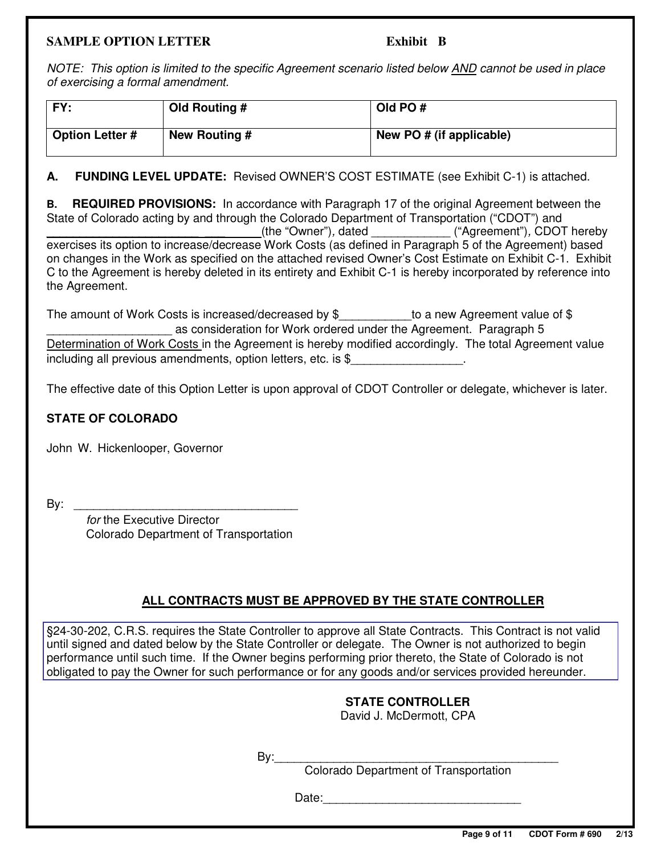#### **SAMPLE OPTION LETTER** Exhibit B

NOTE: This option is limited to the specific Agreement scenario listed below AND cannot be used in place of exercising a formal amendment.

| FY:                    | Old Routing # | Old PO $#$               |
|------------------------|---------------|--------------------------|
| <b>Option Letter #</b> | New Routing # | New PO # (if applicable) |

#### **A. FUNDING LEVEL UPDATE:** Revised OWNER'S COST ESTIMATE (see Exhibit C-1) is attached.

**B. REQUIRED PROVISIONS:** In accordance with Paragraph 17 of the original Agreement between the State of Colorado acting by and through the Colorado Department of Transportation ("CDOT") and \_\_\_\_\_\_\_\_\_\_\_\_\_\_\_\_\_\_\_\_\_\_\_ \_\_\_ (the "Owner"), dated \_\_\_\_\_\_\_\_\_\_\_\_ ("Agreement"), CDOT hereby exercises its option to increase/decrease Work Costs (as defined in Paragraph 5 of the Agreement) based on changes in the Work as specified on the attached revised Owner's Cost Estimate on Exhibit C-1. Exhibit C to the Agreement is hereby deleted in its entirety and Exhibit C-1 is hereby incorporated by reference into the Agreement.

The amount of Work Costs is increased/decreased by \$ \_\_\_\_\_\_\_\_\_\_to a new Agreement value of \$ as consideration for Work ordered under the Agreement. Paragraph 5 Determination of Work Costs in the Agreement is hereby modified accordingly. The total Agreement value including all previous amendments, option letters, etc. is \$

The effective date of this Option Letter is upon approval of CDOT Controller or delegate, whichever is later.

#### **STATE OF COLORADO**

John W. Hickenlooper, Governor

 $\mathsf{By:}$ 

 for the Executive Director Colorado Department of Transportation

## **ALL CONTRACTS MUST BE APPROVED BY THE STATE CONTROLLER**

§24-30-202, C.R.S. requires the State Controller to approve all State Contracts. This Contract is not valid until signed and dated below by the State Controller or delegate. The Owner is not authorized to begin performance until such time. If the Owner begins performing prior thereto, the State of Colorado is not obligated to pay the Owner for such performance or for any goods and/or services provided hereunder.

# **STATE CONTROLLER**

David J. McDermott, CPA

 $By:$ 

Colorado Department of Transportation

Date: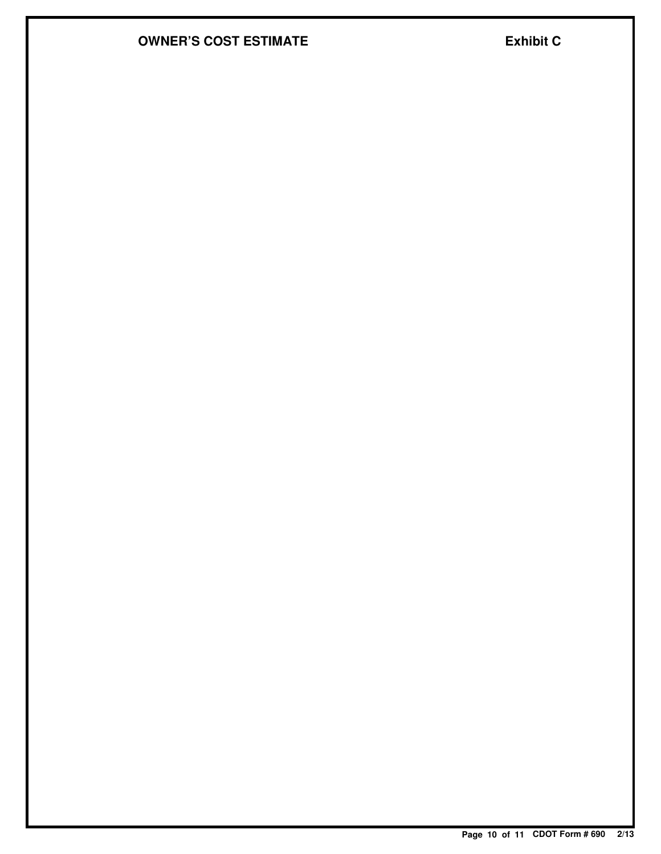## **OWNER'S COST ESTIMATE EXhibit C**